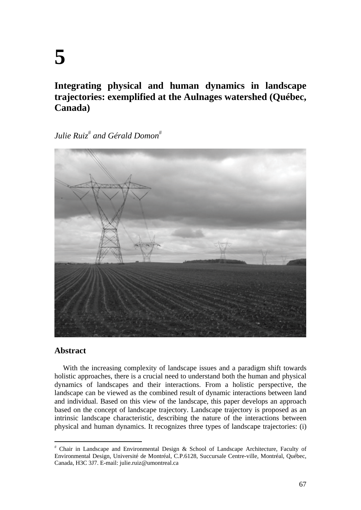# **Integrating physical and human dynamics in landscape trajectories: exemplified at the Aulnages watershed (Québec, Canada)**

 $\emph{Julie Ruiz}^\#$  and Gérald Domon $^{\#}$ 



# **Abstract**

With the increasing complexity of landscape issues and a paradigm shift towards holistic approaches, there is a crucial need to understand both the human and physical dynamics of landscapes and their interactions. From a holistic perspective, the landscape can be viewed as the combined result of dynamic interactions between land and individual. Based on this view of the landscape, this paper develops an approach based on the concept of landscape trajectory. Landscape trajectory is proposed as an intrinsic landscape characteristic, describing the nature of the interactions between physical and human dynamics. It recognizes three types of landscape trajectories: (i)

 Chair in Landscape and Environmental Design & School of Landscape Architecture, Faculty of Environmental Design, Université de Montréal, C.P.6128, Succursale Centre-ville, Montréal, Québec, Canada, H3C 3J7. E-mail: julie.ruiz@umontreal.ca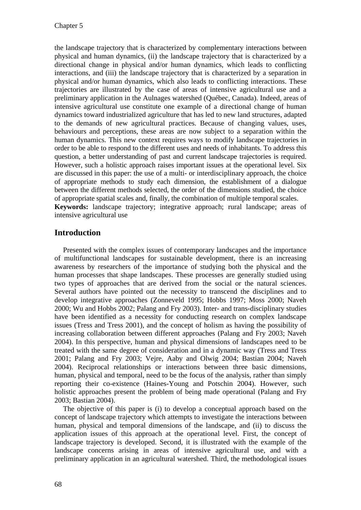the landscape trajectory that is characterized by complementary interactions between physical and human dynamics, (ii) the landscape trajectory that is characterized by a directional change in physical and/or human dynamics, which leads to conflicting interactions, and (iii) the landscape trajectory that is characterized by a separation in physical and/or human dynamics, which also leads to conflicting interactions. These trajectories are illustrated by the case of areas of intensive agricultural use and a preliminary application in the Aulnages watershed (Québec, Canada). Indeed, areas of intensive agricultural use constitute one example of a directional change of human dynamics toward industrialized agriculture that has led to new land structures, adapted to the demands of new agricultural practices. Because of changing values, uses, behaviours and perceptions, these areas are now subject to a separation within the human dynamics. This new context requires ways to modify landscape trajectories in order to be able to respond to the different uses and needs of inhabitants. To address this question, a better understanding of past and current landscape trajectories is required. However, such a holistic approach raises important issues at the operational level. Six are discussed in this paper: the use of a multi- or interdisciplinary approach, the choice of appropriate methods to study each dimension, the establishment of a dialogue between the different methods selected, the order of the dimensions studied, the choice of appropriate spatial scales and, finally, the combination of multiple temporal scales. **Keywords:** landscape trajectory; integrative approach; rural landscape; areas of intensive agricultural use

# **Introduction**

Presented with the complex issues of contemporary landscapes and the importance of multifunctional landscapes for sustainable development, there is an increasing awareness by researchers of the importance of studying both the physical and the human processes that shape landscapes. These processes are generally studied using two types of approaches that are derived from the social or the natural sciences. Several authors have pointed out the necessity to transcend the disciplines and to develop integrative approaches (Zonneveld 1995; Hobbs 1997; Moss 2000; Naveh 2000; Wu and Hobbs 2002; Palang and Fry 2003). Inter- and trans-disciplinary studies have been identified as a necessity for conducting research on complex landscape issues (Tress and Tress 2001), and the concept of holism as having the possibility of increasing collaboration between different approaches (Palang and Fry 2003; Naveh 2004). In this perspective, human and physical dimensions of landscapes need to be treated with the same degree of consideration and in a dynamic way (Tress and Tress 2001; Palang and Fry 2003; Vejre, Aaby and Olwig 2004; Bastian 2004; Naveh 2004). Reciprocal relationships or interactions between three basic dimensions, human, physical and temporal, need to be the focus of the analysis, rather than simply reporting their co-existence (Haines-Young and Potschin 2004). However, such holistic approaches present the problem of being made operational (Palang and Fry 2003; Bastian 2004).

The objective of this paper is (i) to develop a conceptual approach based on the concept of landscape trajectory which attempts to investigate the interactions between human, physical and temporal dimensions of the landscape, and (ii) to discuss the application issues of this approach at the operational level. First, the concept of landscape trajectory is developed. Second, it is illustrated with the example of the landscape concerns arising in areas of intensive agricultural use, and with a preliminary application in an agricultural watershed. Third, the methodological issues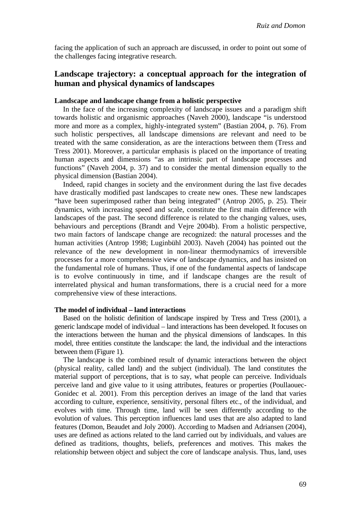facing the application of such an approach are discussed, in order to point out some of the challenges facing integrative research.

# **Landscape trajectory: a conceptual approach for the integration of human and physical dynamics of landscapes**

#### **Landscape and landscape change from a holistic perspective**

In the face of the increasing complexity of landscape issues and a paradigm shift towards holistic and organismic approaches (Naveh 2000), landscape "is understood more and more as a complex, highly-integrated system" (Bastian 2004, p. 76). From such holistic perspectives, all landscape dimensions are relevant and need to be treated with the same consideration, as are the interactions between them (Tress and Tress 2001). Moreover, a particular emphasis is placed on the importance of treating human aspects and dimensions "as an intrinsic part of landscape processes and functions" (Naveh 2004, p. 37) and to consider the mental dimension equally to the physical dimension (Bastian 2004).

Indeed, rapid changes in society and the environment during the last five decades have drastically modified past landscapes to create new ones. These new landscapes "have been superimposed rather than being integrated" (Antrop 2005, p. 25). Their dynamics, with increasing speed and scale, constitute the first main difference with landscapes of the past. The second difference is related to the changing values, uses, behaviours and perceptions (Brandt and Vejre 2004b). From a holistic perspective, two main factors of landscape change are recognized: the natural processes and the human activities (Antrop 1998; Luginbühl 2003). Naveh (2004) has pointed out the relevance of the new development in non-linear thermodynamics of irreversible processes for a more comprehensive view of landscape dynamics, and has insisted on the fundamental role of humans. Thus, if one of the fundamental aspects of landscape is to evolve continuously in time, and if landscape changes are the result of interrelated physical and human transformations, there is a crucial need for a more comprehensive view of these interactions.

#### **The model of individual – land interactions**

Based on the holistic definition of landscape inspired by Tress and Tress (2001), a generic landscape model of individual – land interactions has been developed. It focuses on the interactions between the human and the physical dimensions of landscapes. In this model, three entities constitute the landscape: the land, the individual and the interactions between them (Figure 1).

The landscape is the combined result of dynamic interactions between the object (physical reality, called land) and the subject (individual). The land constitutes the material support of perceptions, that is to say, what people can perceive. Individuals perceive land and give value to it using attributes, features or properties (Poullaouec-Gonidec et al. 2001). From this perception derives an image of the land that varies according to culture, experience, sensitivity, personal filters etc., of the individual, and evolves with time. Through time, land will be seen differently according to the evolution of values. This perception influences land uses that are also adapted to land features (Domon, Beaudet and Joly 2000). According to Madsen and Adriansen (2004), uses are defined as actions related to the land carried out by individuals, and values are defined as traditions, thoughts, beliefs, preferences and motives. This makes the relationship between object and subject the core of landscape analysis. Thus, land, uses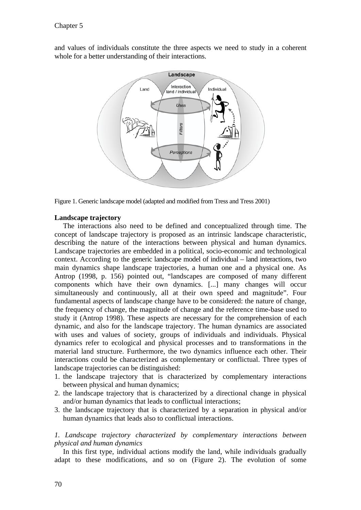and values of individuals constitute the three aspects we need to study in a coherent whole for a better understanding of their interactions.



Figure 1. Generic landscape model (adapted and modified from Tress and Tress 2001)

#### **Landscape trajectory**

The interactions also need to be defined and conceptualized through time. The concept of landscape trajectory is proposed as an intrinsic landscape characteristic, describing the nature of the interactions between physical and human dynamics. Landscape trajectories are embedded in a political, socio-economic and technological context. According to the generic landscape model of individual – land interactions, two main dynamics shape landscape trajectories, a human one and a physical one. As Antrop (1998, p. 156) pointed out, "landscapes are composed of many different components which have their own dynamics. [...] many changes will occur simultaneously and continuously, all at their own speed and magnitude". Four fundamental aspects of landscape change have to be considered: the nature of change, the frequency of change, the magnitude of change and the reference time-base used to study it (Antrop 1998). These aspects are necessary for the comprehension of each dynamic, and also for the landscape trajectory. The human dynamics are associated with uses and values of society, groups of individuals and individuals. Physical dynamics refer to ecological and physical processes and to transformations in the material land structure. Furthermore, the two dynamics influence each other. Their interactions could be characterized as complementary or conflictual. Three types of landscape trajectories can be distinguished:

- 1. the landscape trajectory that is characterized by complementary interactions between physical and human dynamics;
- 2. the landscape trajectory that is characterized by a directional change in physical and/or human dynamics that leads to conflictual interactions;
- 3. the landscape trajectory that is characterized by a separation in physical and/or human dynamics that leads also to conflictual interactions.

### *1. Landscape trajectory characterized by complementary interactions between physical and human dynamics*

In this first type, individual actions modify the land, while individuals gradually adapt to these modifications, and so on (Figure 2). The evolution of some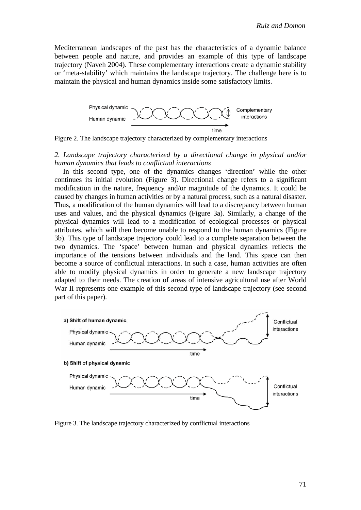Mediterranean landscapes of the past has the characteristics of a dynamic balance between people and nature, and provides an example of this type of landscape trajectory (Naveh 2004). These complementary interactions create a dynamic stability or 'meta-stability' which maintains the landscape trajectory. The challenge here is to maintain the physical and human dynamics inside some satisfactory limits.



Figure 2. The landscape trajectory characterized by complementary interactions

#### *2. Landscape trajectory characterized by a directional change in physical and/or human dynamics that leads to conflictual interactions*

In this second type, one of the dynamics changes 'direction' while the other continues its initial evolution (Figure 3). Directional change refers to a significant modification in the nature, frequency and/or magnitude of the dynamics. It could be caused by changes in human activities or by a natural process, such as a natural disaster. Thus, a modification of the human dynamics will lead to a discrepancy between human uses and values, and the physical dynamics (Figure 3a). Similarly, a change of the physical dynamics will lead to a modification of ecological processes or physical attributes, which will then become unable to respond to the human dynamics (Figure 3b). This type of landscape trajectory could lead to a complete separation between the two dynamics. The 'space' between human and physical dynamics reflects the importance of the tensions between individuals and the land. This space can then become a source of conflictual interactions. In such a case, human activities are often able to modify physical dynamics in order to generate a new landscape trajectory adapted to their needs. The creation of areas of intensive agricultural use after World War II represents one example of this second type of landscape trajectory (see second part of this paper).



Figure 3. The landscape trajectory characterized by conflictual interactions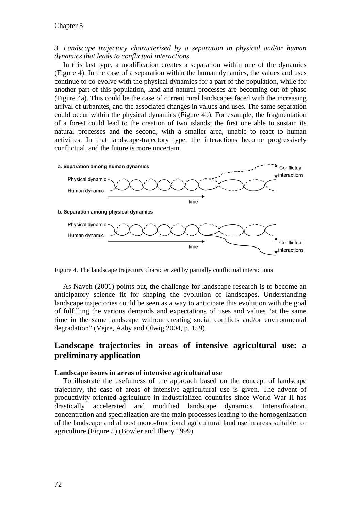#### *3. Landscape trajectory characterized by a separation in physical and/or human dynamics that leads to conflictual interactions*

In this last type, a modification creates a separation within one of the dynamics (Figure 4). In the case of a separation within the human dynamics, the values and uses continue to co-evolve with the physical dynamics for a part of the population, while for another part of this population, land and natural processes are becoming out of phase (Figure 4a). This could be the case of current rural landscapes faced with the increasing arrival of urbanites, and the associated changes in values and uses. The same separation could occur within the physical dynamics (Figure 4b). For example, the fragmentation of a forest could lead to the creation of two islands; the first one able to sustain its natural processes and the second, with a smaller area, unable to react to human activities. In that landscape-trajectory type, the interactions become progressively conflictual, and the future is more uncertain.



Figure 4. The landscape trajectory characterized by partially conflictual interactions

As Naveh (2001) points out, the challenge for landscape research is to become an anticipatory science fit for shaping the evolution of landscapes. Understanding landscape trajectories could be seen as a way to anticipate this evolution with the goal of fulfilling the various demands and expectations of uses and values "at the same time in the same landscape without creating social conflicts and/or environmental degradation" (Vejre, Aaby and Olwig 2004, p. 159).

# **Landscape trajectories in areas of intensive agricultural use: a preliminary application**

#### **Landscape issues in areas of intensive agricultural use**

To illustrate the usefulness of the approach based on the concept of landscape trajectory, the case of areas of intensive agricultural use is given. The advent of productivity-oriented agriculture in industrialized countries since World War II has drastically accelerated and modified landscape dynamics. Intensification, concentration and specialization are the main processes leading to the homogenization of the landscape and almost mono-functional agricultural land use in areas suitable for agriculture (Figure 5) (Bowler and Ilbery 1999).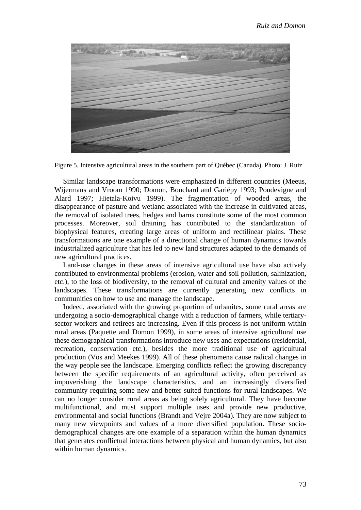

Figure 5. Intensive agricultural areas in the southern part of Québec (Canada). Photo: J. Ruiz

Similar landscape transformations were emphasized in different countries (Meeus, Wijermans and Vroom 1990; Domon, Bouchard and Gariépy 1993; Poudevigne and Alard 1997; Hietala-Koivu 1999). The fragmentation of wooded areas, the disappearance of pasture and wetland associated with the increase in cultivated areas, the removal of isolated trees, hedges and barns constitute some of the most common processes. Moreover, soil draining has contributed to the standardization of biophysical features, creating large areas of uniform and rectilinear plains. These transformations are one example of a directional change of human dynamics towards industrialized agriculture that has led to new land structures adapted to the demands of new agricultural practices.

Land-use changes in these areas of intensive agricultural use have also actively contributed to environmental problems (erosion, water and soil pollution, salinization, etc.), to the loss of biodiversity, to the removal of cultural and amenity values of the landscapes. These transformations are currently generating new conflicts in communities on how to use and manage the landscape.

Indeed, associated with the growing proportion of urbanites, some rural areas are undergoing a socio-demographical change with a reduction of farmers, while tertiarysector workers and retirees are increasing. Even if this process is not uniform within rural areas (Paquette and Domon 1999), in some areas of intensive agricultural use these demographical transformations introduce new uses and expectations (residential, recreation, conservation etc.), besides the more traditional use of agricultural production (Vos and Meekes 1999). All of these phenomena cause radical changes in the way people see the landscape. Emerging conflicts reflect the growing discrepancy between the specific requirements of an agricultural activity, often perceived as impoverishing the landscape characteristics, and an increasingly diversified community requiring some new and better suited functions for rural landscapes. We can no longer consider rural areas as being solely agricultural. They have become multifunctional, and must support multiple uses and provide new productive, environmental and social functions (Brandt and Vejre 2004a). They are now subject to many new viewpoints and values of a more diversified population. These sociodemographical changes are one example of a separation within the human dynamics that generates conflictual interactions between physical and human dynamics, but also within human dynamics.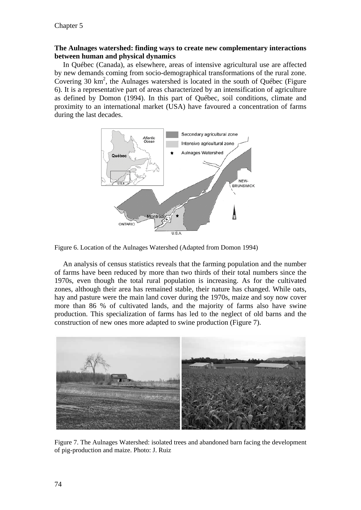#### **The Aulnages watershed: finding ways to create new complementary interactions between human and physical dynamics**

In Québec (Canada), as elsewhere, areas of intensive agricultural use are affected by new demands coming from socio-demographical transformations of the rural zone. Covering 30 km<sup>2</sup>, the Aulnages watershed is located in the south of Québec (Figure 6). It is a representative part of areas characterized by an intensification of agriculture as defined by Domon (1994). In this part of Québec, soil conditions, climate and proximity to an international market (USA) have favoured a concentration of farms during the last decades.





An analysis of census statistics reveals that the farming population and the number of farms have been reduced by more than two thirds of their total numbers since the 1970s, even though the total rural population is increasing. As for the cultivated zones, although their area has remained stable, their nature has changed. While oats, hay and pasture were the main land cover during the 1970s, maize and soy now cover more than 86 % of cultivated lands, and the majority of farms also have swine production. This specialization of farms has led to the neglect of old barns and the construction of new ones more adapted to swine production (Figure 7).



Figure 7. The Aulnages Watershed: isolated trees and abandoned barn facing the development of pig-production and maize. Photo: J. Ruiz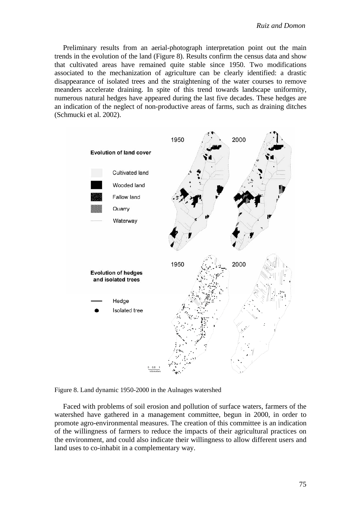Preliminary results from an aerial-photograph interpretation point out the main trends in the evolution of the land (Figure 8). Results confirm the census data and show that cultivated areas have remained quite stable since 1950. Two modifications associated to the mechanization of agriculture can be clearly identified: a drastic disappearance of isolated trees and the straightening of the water courses to remove meanders accelerate draining. In spite of this trend towards landscape uniformity, numerous natural hedges have appeared during the last five decades. These hedges are an indication of the neglect of non-productive areas of farms, such as draining ditches (Schmucki et al. 2002).



Figure 8. Land dynamic 1950-2000 in the Aulnages watershed

Faced with problems of soil erosion and pollution of surface waters, farmers of the watershed have gathered in a management committee, begun in 2000, in order to promote agro-environmental measures. The creation of this committee is an indication of the willingness of farmers to reduce the impacts of their agricultural practices on the environment, and could also indicate their willingness to allow different users and land uses to co-inhabit in a complementary way.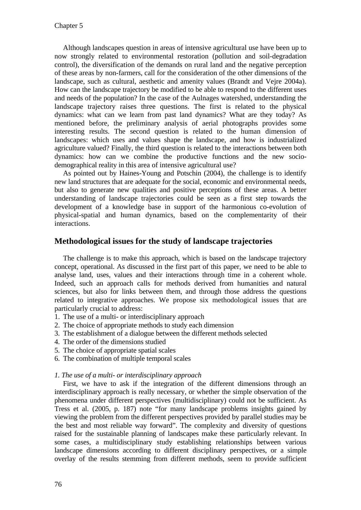Although landscapes question in areas of intensive agricultural use have been up to now strongly related to environmental restoration (pollution and soil-degradation control), the diversification of the demands on rural land and the negative perception of these areas by non-farmers, call for the consideration of the other dimensions of the landscape, such as cultural, aesthetic and amenity values (Brandt and Vejre 2004a). How can the landscape trajectory be modified to be able to respond to the different uses and needs of the population? In the case of the Aulnages watershed, understanding the landscape trajectory raises three questions. The first is related to the physical dynamics: what can we learn from past land dynamics? What are they today? As mentioned before, the preliminary analysis of aerial photographs provides some interesting results. The second question is related to the human dimension of landscapes: which uses and values shape the landscape, and how is industrialized agriculture valued? Finally, the third question is related to the interactions between both dynamics: how can we combine the productive functions and the new sociodemographical reality in this area of intensive agricultural use?

As pointed out by Haines-Young and Potschin (2004), the challenge is to identify new land structures that are adequate for the social, economic and environmental needs, but also to generate new qualities and positive perceptions of these areas. A better understanding of landscape trajectories could be seen as a first step towards the development of a knowledge base in support of the harmonious co-evolution of physical-spatial and human dynamics, based on the complementarity of their interactions.

## **Methodological issues for the study of landscape trajectories**

The challenge is to make this approach, which is based on the landscape trajectory concept, operational. As discussed in the first part of this paper, we need to be able to analyse land, uses, values and their interactions through time in a coherent whole. Indeed, such an approach calls for methods derived from humanities and natural sciences, but also for links between them, and through those address the questions related to integrative approaches. We propose six methodological issues that are particularly crucial to address:

- 1. The use of a multi- or interdisciplinary approach
- 2. The choice of appropriate methods to study each dimension
- 3. The establishment of a dialogue between the different methods selected
- 4. The order of the dimensions studied
- 5. The choice of appropriate spatial scales
- 6. The combination of multiple temporal scales

#### *1. The use of a multi- or interdisciplinary approach*

First, we have to ask if the integration of the different dimensions through an interdisciplinary approach is really necessary, or whether the simple observation of the phenomena under different perspectives (multidisciplinary) could not be sufficient. As Tress et al. (2005, p. 187) note "for many landscape problems insights gained by viewing the problem from the different perspectives provided by parallel studies may be the best and most reliable way forward". The complexity and diversity of questions raised for the sustainable planning of landscapes make these particularly relevant. In some cases, a multidisciplinary study establishing relationships between various landscape dimensions according to different disciplinary perspectives, or a simple overlay of the results stemming from different methods, seem to provide sufficient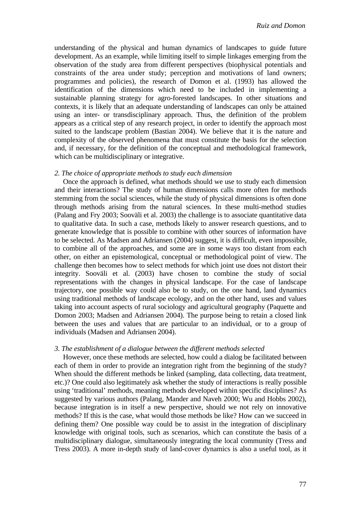understanding of the physical and human dynamics of landscapes to guide future development. As an example, while limiting itself to simple linkages emerging from the observation of the study area from different perspectives (biophysical potentials and constraints of the area under study; perception and motivations of land owners; programmes and policies), the research of Domon et al. (1993) has allowed the identification of the dimensions which need to be included in implementing a sustainable planning strategy for agro-forested landscapes. In other situations and contexts, it is likely that an adequate understanding of landscapes can only be attained using an inter- or transdisciplinary approach. Thus, the definition of the problem appears as a critical step of any research project, in order to identify the approach most suited to the landscape problem (Bastian 2004). We believe that it is the nature and complexity of the observed phenomena that must constitute the basis for the selection and, if necessary, for the definition of the conceptual and methodological framework, which can be multidisciplinary or integrative.

#### *2. The choice of appropriate methods to study each dimension*

Once the approach is defined, what methods should we use to study each dimension and their interactions? The study of human dimensions calls more often for methods stemming from the social sciences, while the study of physical dimensions is often done through methods arising from the natural sciences. In these multi-method studies (Palang and Fry 2003; Sooväli et al. 2003) the challenge is to associate quantitative data to qualitative data. In such a case, methods likely to answer research questions, and to generate knowledge that is possible to combine with other sources of information have to be selected. As Madsen and Adriansen (2004) suggest, it is difficult, even impossible, to combine all of the approaches, and some are in some ways too distant from each other, on either an epistemological, conceptual or methodological point of view. The challenge then becomes how to select methods for which joint use does not distort their integrity. Sooväli et al. (2003) have chosen to combine the study of social representations with the changes in physical landscape. For the case of landscape trajectory, one possible way could also be to study, on the one hand, land dynamics using traditional methods of landscape ecology, and on the other hand, uses and values taking into account aspects of rural sociology and agricultural geography (Paquette and Domon 2003; Madsen and Adriansen 2004). The purpose being to retain a closed link between the uses and values that are particular to an individual, or to a group of individuals (Madsen and Adriansen 2004).

#### *3. The establishment of a dialogue between the different methods selected*

However, once these methods are selected, how could a dialog be facilitated between each of them in order to provide an integration right from the beginning of the study? When should the different methods be linked (sampling, data collecting, data treatment, etc.)? One could also legitimately ask whether the study of interactions is really possible using 'traditional' methods, meaning methods developed within specific disciplines? As suggested by various authors (Palang, Mander and Naveh 2000; Wu and Hobbs 2002), because integration is in itself a new perspective, should we not rely on innovative methods? If this is the case, what would those methods be like? How can we succeed in defining them? One possible way could be to assist in the integration of disciplinary knowledge with original tools, such as scenarios, which can constitute the basis of a multidisciplinary dialogue, simultaneously integrating the local community (Tress and Tress 2003). A more in-depth study of land-cover dynamics is also a useful tool, as it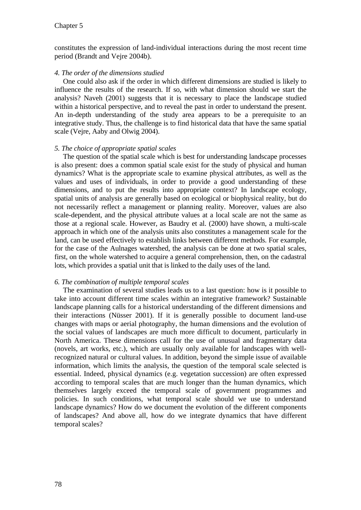constitutes the expression of land-individual interactions during the most recent time period (Brandt and Vejre 2004b).

#### *4. The order of the dimensions studied*

One could also ask if the order in which different dimensions are studied is likely to influence the results of the research. If so, with what dimension should we start the analysis? Naveh (2001) suggests that it is necessary to place the landscape studied within a historical perspective, and to reveal the past in order to understand the present. An in-depth understanding of the study area appears to be a prerequisite to an integrative study. Thus, the challenge is to find historical data that have the same spatial scale (Vejre, Aaby and Olwig 2004).

### *5. The choice of appropriate spatial scales*

The question of the spatial scale which is best for understanding landscape processes is also present: does a common spatial scale exist for the study of physical and human dynamics? What is the appropriate scale to examine physical attributes, as well as the values and uses of individuals, in order to provide a good understanding of these dimensions, and to put the results into appropriate context? In landscape ecology, spatial units of analysis are generally based on ecological or biophysical reality, but do not necessarily reflect a management or planning reality. Moreover, values are also scale-dependent, and the physical attribute values at a local scale are not the same as those at a regional scale. However, as Baudry et al. (2000) have shown, a multi-scale approach in which one of the analysis units also constitutes a management scale for the land, can be used effectively to establish links between different methods. For example, for the case of the Aulnages watershed, the analysis can be done at two spatial scales, first, on the whole watershed to acquire a general comprehension, then, on the cadastral lots, which provides a spatial unit that is linked to the daily uses of the land.

#### *6. The combination of multiple temporal scales*

The examination of several studies leads us to a last question: how is it possible to take into account different time scales within an integrative framework? Sustainable landscape planning calls for a historical understanding of the different dimensions and their interactions (Nüsser 2001). If it is generally possible to document land-use changes with maps or aerial photography, the human dimensions and the evolution of the social values of landscapes are much more difficult to document, particularly in North America. These dimensions call for the use of unusual and fragmentary data (novels, art works, etc.), which are usually only available for landscapes with wellrecognized natural or cultural values. In addition, beyond the simple issue of available information, which limits the analysis, the question of the temporal scale selected is essential. Indeed, physical dynamics (e.g. vegetation succession) are often expressed according to temporal scales that are much longer than the human dynamics, which themselves largely exceed the temporal scale of government programmes and policies. In such conditions, what temporal scale should we use to understand landscape dynamics? How do we document the evolution of the different components of landscapes? And above all, how do we integrate dynamics that have different temporal scales?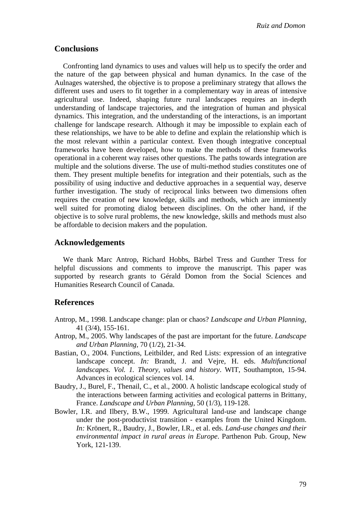### **Conclusions**

Confronting land dynamics to uses and values will help us to specify the order and the nature of the gap between physical and human dynamics. In the case of the Aulnages watershed, the objective is to propose a preliminary strategy that allows the different uses and users to fit together in a complementary way in areas of intensive agricultural use. Indeed, shaping future rural landscapes requires an in-depth understanding of landscape trajectories, and the integration of human and physical dynamics. This integration, and the understanding of the interactions, is an important challenge for landscape research. Although it may be impossible to explain each of these relationships, we have to be able to define and explain the relationship which is the most relevant within a particular context. Even though integrative conceptual frameworks have been developed, how to make the methods of these frameworks operational in a coherent way raises other questions. The paths towards integration are multiple and the solutions diverse. The use of multi-method studies constitutes one of them. They present multiple benefits for integration and their potentials, such as the possibility of using inductive and deductive approaches in a sequential way, deserve further investigation. The study of reciprocal links between two dimensions often requires the creation of new knowledge, skills and methods, which are imminently well suited for promoting dialog between disciplines. On the other hand, if the objective is to solve rural problems, the new knowledge, skills and methods must also be affordable to decision makers and the population.

### **Acknowledgements**

We thank Marc Antrop, Richard Hobbs, Bärbel Tress and Gunther Tress for helpful discussions and comments to improve the manuscript. This paper was supported by research grants to Gérald Domon from the Social Sciences and Humanities Research Council of Canada.

### **References**

- Antrop, M., 1998. Landscape change: plan or chaos? *Landscape and Urban Planning,* 41 (3/4), 155-161.
- Antrop, M., 2005. Why landscapes of the past are important for the future. *Landscape and Urban Planning,* 70 (1/2), 21-34.
- Bastian, O., 2004. Functions, Leitbilder, and Red Lists: expression of an integrative landscape concept. *In:* Brandt, J. and Vejre, H. eds. *Multifunctional landscapes. Vol. 1. Theory, values and history*. WIT, Southampton, 15-94. Advances in ecological sciences vol. 14.
- Baudry, J., Burel, F., Thenail, C., et al., 2000. A holistic landscape ecological study of the interactions between farming activities and ecological patterns in Brittany, France. *Landscape and Urban Planning,* 50 (1/3), 119-128.
- Bowler, I.R. and Ilbery, B.W., 1999. Agricultural land-use and landscape change under the post-productivist transition - examples from the United Kingdom. *In:* Krönert, R., Baudry, J., Bowler, I.R., et al. eds. *Land-use changes and their environmental impact in rural areas in Europe*. Parthenon Pub. Group, New York, 121-139.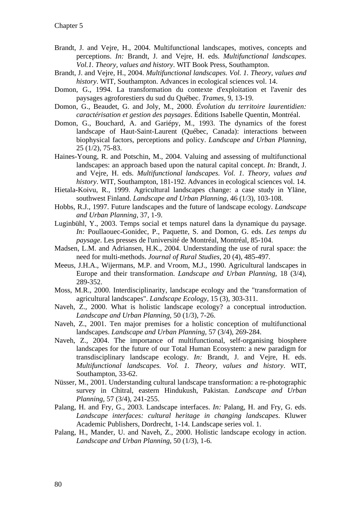- Brandt, J. and Vejre, H., 2004. Multifunctional landscapes, motives, concepts and perceptions. *In:* Brandt, J. and Vejre, H. eds. *Multifunctional landscapes. Vol.1. Theory, values and history*. WIT Book Press, Southampton.
- Brandt, J. and Vejre, H., 2004. *Multifunctional landscapes. Vol. 1. Theory, values and history*. WIT, Southampton. Advances in ecological sciences vol. 14.
- Domon, G., 1994. La transformation du contexte d'exploitation et l'avenir des paysages agroforestiers du sud du Québec. *Trames,* 9, 13-19.
- Domon, G., Beaudet, G. and Joly, M., 2000. *Évolution du territoire laurentidien: caractérisation et gestion des paysages*. Éditions Isabelle Quentin, Montréal.
- Domon, G., Bouchard, A. and Gariépy, M., 1993. The dynamics of the forest landscape of Haut-Saint-Laurent (Québec, Canada): interactions between biophysical factors, perceptions and policy. *Landscape and Urban Planning,* 25 (1/2), 75-83.
- Haines-Young, R. and Potschin, M., 2004. Valuing and assessing of multifunctional landscapes: an approach based upon the natural capital concept. *In:* Brandt, J. and Vejre, H. eds. *Multifunctional landscapes. Vol. 1. Theory, values and history*. WIT, Southampton, 181-192. Advances in ecological sciences vol. 14.
- Hietala-Koivu, R., 1999. Agricultural landscapes change: a case study in Yläne, southwest Finland. *Landscape and Urban Planning,* 46 (1/3), 103-108.
- Hobbs, R.J., 1997. Future landscapes and the future of landscape ecology. *Landscape and Urban Planning,* 37, 1-9.
- Luginbühl, Y., 2003. Temps social et temps naturel dans la dynamique du paysage. *In:* Poullaouec-Gonidec, P., Paquette, S. and Domon, G. eds. *Les temps du paysage*. Les presses de l'université de Montréal, Montréal, 85-104.
- Madsen, L.M. and Adriansen, H.K., 2004. Understanding the use of rural space: the need for multi-methods. *Journal of Rural Studies,* 20 (4), 485-497.
- Meeus, J.H.A., Wijermans, M.P. and Vroom, M.J., 1990. Agricultural landscapes in Europe and their transformation. *Landscape and Urban Planning,* 18 (3/4), 289-352.
- Moss, M.R., 2000. Interdisciplinarity, landscape ecology and the "transformation of agricultural landscapes". *Landscape Ecology,* 15 (3), 303-311.
- Naveh, Z., 2000. What is holistic landscape ecology? a conceptual introduction. *Landscape and Urban Planning,* 50 (1/3), 7-26.
- Naveh, Z., 2001. Ten major premises for a holistic conception of multifunctional landscapes. *Landscape and Urban Planning,* 57 (3/4), 269-284.
- Naveh, Z., 2004. The importance of multifunctional, self-organising biosphere landscapes for the future of our Total Human Ecosystem: a new paradigm for transdisciplinary landscape ecology. *In:* Brandt, J. and Vejre, H. eds. *Multifunctional landscapes. Vol. 1. Theory, values and history*. WIT, Southampton, 33-62.
- Nüsser, M., 2001. Understanding cultural landscape transformation: a re-photographic survey in Chitral, eastern Hindukush, Pakistan. *Landscape and Urban Planning,* 57 (3/4), 241-255.
- Palang, H. and Fry, G., 2003. Landscape interfaces. *In:* Palang, H. and Fry, G. eds. *Landscape interfaces: cultural heritage in changing landscapes*. Kluwer Academic Publishers, Dordrecht, 1-14. Landscape series vol. 1.
- Palang, H., Mander, U. and Naveh, Z., 2000. Holistic landscape ecology in action. *Landscape and Urban Planning,* 50 (1/3), 1-6.